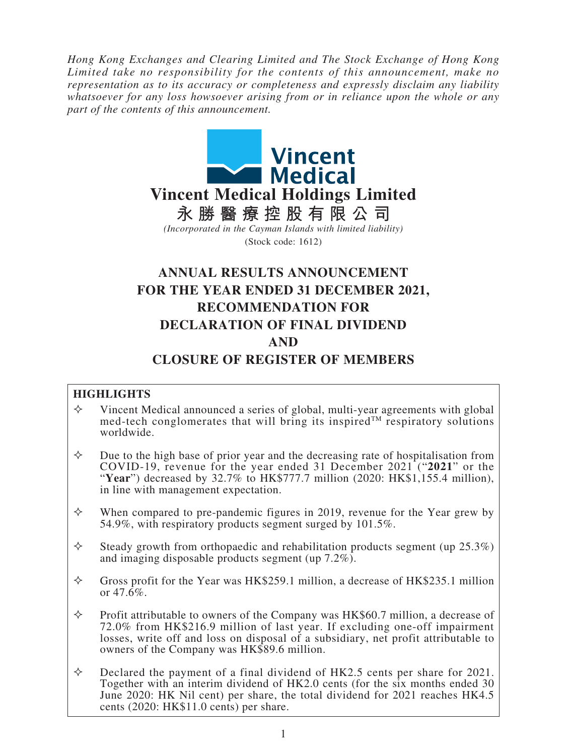*Hong Kong Exchanges and Clearing Limited and The Stock Exchange of Hong Kong Limited take no responsibility for the contents of this announcement, make no representation as to its accuracy or completeness and expressly disclaim any liability whatsoever for any loss howsoever arising from or in reliance upon the whole or any part of the contents of this announcement.*



# **ANNUAL RESULTS ANNOUNCEMENT FOR THE YEAR ENDED 31 DECEMBER 2021, RECOMMENDATION FOR DECLARATION OF FINAL DIVIDEND AND CLOSURE OF REGISTER OF MEMBERS**

## **HIGHLIGHTS**

- $\diamond$  Vincent Medical announced a series of global, multi-year agreements with global med-tech conglomerates that will bring its inspired<sup>TM</sup> respiratory solutions worldwide.
- $\Diamond$  Due to the high base of prior year and the decreasing rate of hospitalisation from COVID-19, revenue for the year ended 31 December 2021 ("**<sup>2021</sup>**" or the "**Year**") decreased by 32.7% to HK\$777.7 million (2020: HK\$1,155.4 million), in line with management expectation.
- $\Diamond$  When compared to pre-pandemic figures in 2019, revenue for the Year grew by 54.9%, with respiratory products segment surged by 101.5%.
- $\Diamond$  Steady growth from orthopaedic and rehabilitation products segment (up 25.3%) and imaging disposable products segment (up 7.2%).
- $\Diamond$  Gross profit for the Year was HK\$259.1 million, a decrease of HK\$235.1 million or  $47.\overline{6}\%$ .
- $\Diamond$  Profit attributable to owners of the Company was HK\$60.7 million, a decrease of 72.0% from HK\$216.9 million of last year. If excluding one-off impairment losses, write off and loss on disposal of a subsidiary, net profit attributable to owners of the Company was HK\$89.6 million.
- $\Diamond$  Declared the payment of a final dividend of HK2.5 cents per share for 2021. Together with an interim dividend of HK2.0 cents (for the six months ended 30 June 2020: HK Nil cent) per share, the total dividend for 2021 reaches HK4.5 cents (2020: HK\$11.0 cents) per share.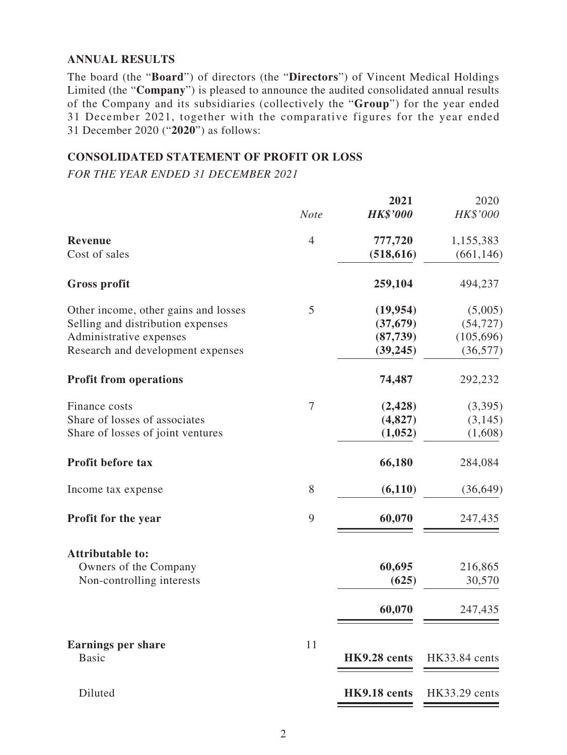## **ANNUAL RESULTS**

The board (the "**Board**") of directors (the "**Directors**") of Vincent Medical Holdings Limited (the "**Company**") is pleased to announce the audited consolidated annual results of the Company and its subsidiaries (collectively the "**Group**") for the year ended 31 December 2021, together with the comparative figures for the year ended 31 December 2020 ("**2020**") as follows:

## **CONSOLIDATED STATEMENT OF PROFIT OR LOSS**

*FOR THE YEAR ENDED 31 DECEMBER 2021*

|                                      |                | 2021            | 2020          |
|--------------------------------------|----------------|-----------------|---------------|
|                                      | <b>Note</b>    | <b>HK\$'000</b> | HK\$'000      |
| <b>Revenue</b>                       | $\overline{4}$ | 777,720         | 1,155,383     |
| Cost of sales                        |                | (518, 616)      | (661, 146)    |
| <b>Gross profit</b>                  |                | 259,104         | 494,237       |
| Other income, other gains and losses | 5              | (19, 954)       | (5,005)       |
| Selling and distribution expenses    |                | (37, 679)       | (54, 727)     |
| Administrative expenses              |                | (87, 739)       | (105, 696)    |
| Research and development expenses    |                | (39, 245)       | (36, 577)     |
| <b>Profit from operations</b>        |                | 74,487          | 292,232       |
| Finance costs                        | 7              | (2, 428)        | (3,395)       |
| Share of losses of associates        |                | (4,827)         | (3, 145)      |
| Share of losses of joint ventures    |                | (1,052)         | (1,608)       |
| Profit before tax                    |                | 66,180          | 284,084       |
| Income tax expense                   | 8              | (6, 110)        | (36, 649)     |
| Profit for the year                  | 9              | 60,070          | 247,435       |
| <b>Attributable to:</b>              |                |                 |               |
| Owners of the Company                |                | 60,695          | 216,865       |
| Non-controlling interests            |                | (625)           | 30,570        |
|                                      |                | 60,070          | 247,435       |
| <b>Earnings per share</b>            | 11             |                 |               |
| <b>Basic</b>                         |                | HK9.28 cents    | HK33.84 cents |
| Diluted                              |                | HK9.18 cents    | HK33.29 cents |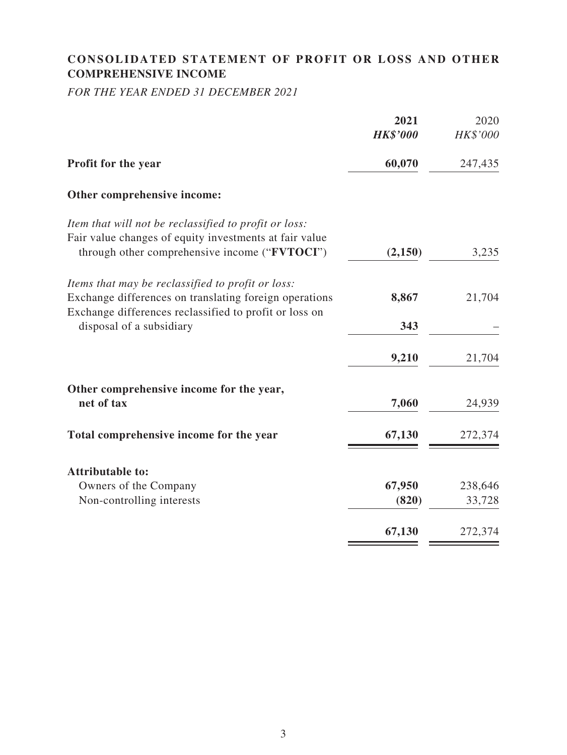# **CONSOLIDATED STATEMENT OF PROFIT OR LOSS AND OTHER COMPREHENSIVE INCOME**

*FOR THE YEAR ENDED 31 DECEMBER 2021*

|                                                                                                         | 2021            | 2020     |
|---------------------------------------------------------------------------------------------------------|-----------------|----------|
|                                                                                                         | <b>HK\$'000</b> | HK\$'000 |
| Profit for the year                                                                                     | 60,070          | 247,435  |
| Other comprehensive income:                                                                             |                 |          |
| Item that will not be reclassified to profit or loss:                                                   |                 |          |
| Fair value changes of equity investments at fair value<br>through other comprehensive income ("FVTOCI") | (2,150)         | 3,235    |
| Items that may be reclassified to profit or loss:                                                       |                 |          |
| Exchange differences on translating foreign operations                                                  | 8,867           | 21,704   |
| Exchange differences reclassified to profit or loss on<br>disposal of a subsidiary                      | 343             |          |
|                                                                                                         | 9,210           | 21,704   |
| Other comprehensive income for the year,                                                                |                 |          |
| net of tax                                                                                              | 7,060           | 24,939   |
| Total comprehensive income for the year                                                                 | 67,130          | 272,374  |
| <b>Attributable to:</b>                                                                                 |                 |          |
| Owners of the Company                                                                                   | 67,950          | 238,646  |
| Non-controlling interests                                                                               | (820)           | 33,728   |
|                                                                                                         | 67,130          | 272,374  |
|                                                                                                         |                 |          |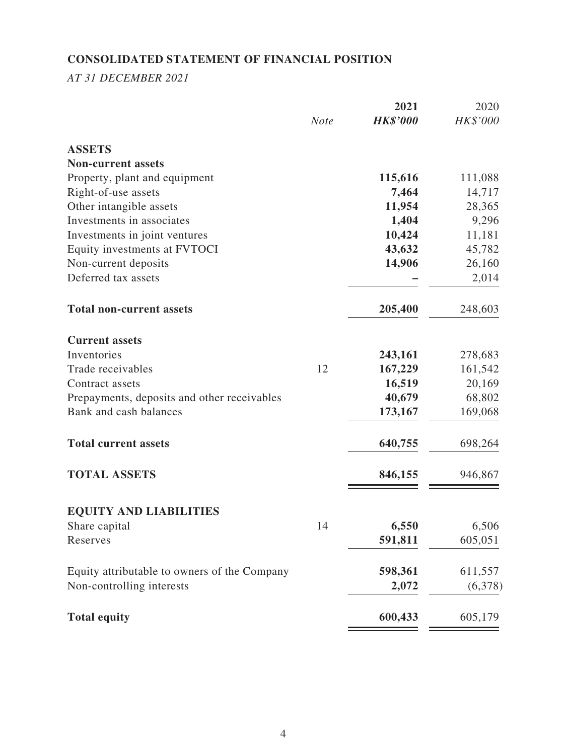# **CONSOLIDATED STATEMENT OF FINANCIAL POSITION**

*AT 31 DECEMBER 2021*

|                                              |             | 2021            | 2020     |
|----------------------------------------------|-------------|-----------------|----------|
|                                              | <b>Note</b> | <b>HK\$'000</b> | HK\$'000 |
| <b>ASSETS</b>                                |             |                 |          |
| <b>Non-current assets</b>                    |             |                 |          |
| Property, plant and equipment                |             | 115,616         | 111,088  |
| Right-of-use assets                          |             | 7,464           | 14,717   |
| Other intangible assets                      |             | 11,954          | 28,365   |
| Investments in associates                    |             | 1,404           | 9,296    |
| Investments in joint ventures                |             | 10,424          | 11,181   |
| Equity investments at FVTOCI                 |             | 43,632          | 45,782   |
| Non-current deposits                         |             | 14,906          | 26,160   |
| Deferred tax assets                          |             |                 | 2,014    |
| <b>Total non-current assets</b>              |             | 205,400         | 248,603  |
| <b>Current assets</b>                        |             |                 |          |
| Inventories                                  |             | 243,161         | 278,683  |
| Trade receivables                            | 12          | 167,229         | 161,542  |
| Contract assets                              |             | 16,519          | 20,169   |
| Prepayments, deposits and other receivables  |             | 40,679          | 68,802   |
| Bank and cash balances                       |             | 173,167         | 169,068  |
| <b>Total current assets</b>                  |             | 640,755         | 698,264  |
| <b>TOTAL ASSETS</b>                          |             | 846,155         | 946,867  |
| <b>EQUITY AND LIABILITIES</b>                |             |                 |          |
| Share capital                                | 14          | 6,550           | 6,506    |
| Reserves                                     |             | 591,811         | 605,051  |
| Equity attributable to owners of the Company |             | 598,361         | 611,557  |
| Non-controlling interests                    |             | 2,072           | (6,378)  |
| <b>Total equity</b>                          |             | 600,433         | 605,179  |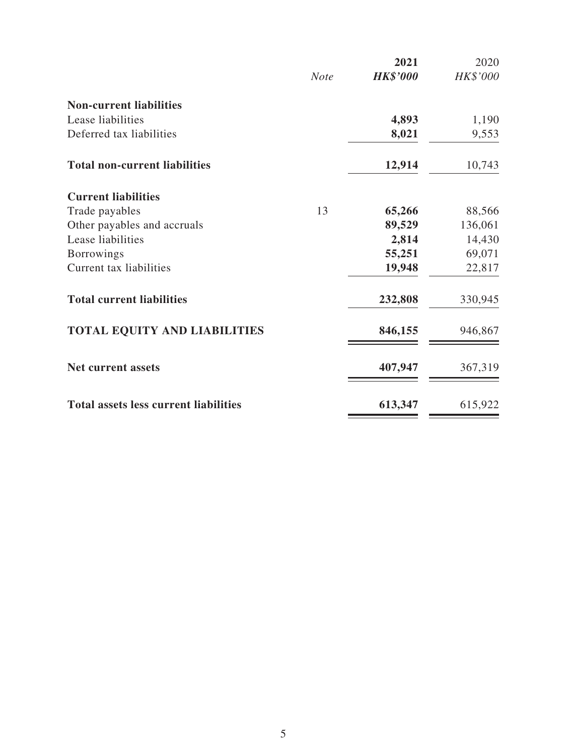|                                              |             | 2021            | 2020     |
|----------------------------------------------|-------------|-----------------|----------|
|                                              | <b>Note</b> | <b>HK\$'000</b> | HK\$'000 |
| <b>Non-current liabilities</b>               |             |                 |          |
| Lease liabilities                            |             | 4,893           | 1,190    |
| Deferred tax liabilities                     |             | 8,021           | 9,553    |
| <b>Total non-current liabilities</b>         |             | 12,914          | 10,743   |
| <b>Current liabilities</b>                   |             |                 |          |
| Trade payables                               | 13          | 65,266          | 88,566   |
| Other payables and accruals                  |             | 89,529          | 136,061  |
| Lease liabilities                            |             | 2,814           | 14,430   |
| <b>Borrowings</b>                            |             | 55,251          | 69,071   |
| Current tax liabilities                      |             | 19,948          | 22,817   |
| <b>Total current liabilities</b>             |             | 232,808         | 330,945  |
| <b>TOTAL EQUITY AND LIABILITIES</b>          |             | 846,155         | 946,867  |
| <b>Net current assets</b>                    |             | 407,947         | 367,319  |
| <b>Total assets less current liabilities</b> |             | 613,347         | 615,922  |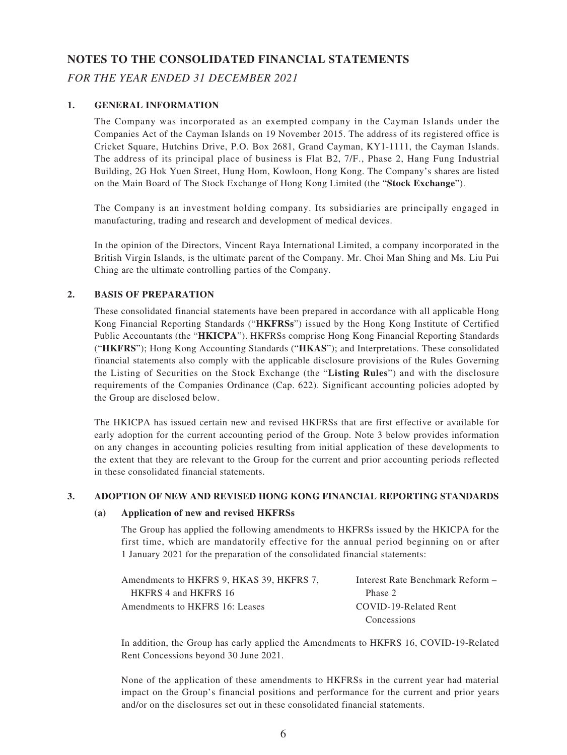#### **NOTES TO THE CONSOLIDATED FINANCIAL STATEMENTS**

#### *FOR THE YEAR ENDED 31 DECEMBER 2021*

#### **1. GENERAL INFORMATION**

The Company was incorporated as an exempted company in the Cayman Islands under the Companies Act of the Cayman Islands on 19 November 2015. The address of its registered office is Cricket Square, Hutchins Drive, P.O. Box 2681, Grand Cayman, KY1-1111, the Cayman Islands. The address of its principal place of business is Flat B2, 7/F., Phase 2, Hang Fung Industrial Building, 2G Hok Yuen Street, Hung Hom, Kowloon, Hong Kong. The Company's shares are listed on the Main Board of The Stock Exchange of Hong Kong Limited (the "**Stock Exchange**").

The Company is an investment holding company. Its subsidiaries are principally engaged in manufacturing, trading and research and development of medical devices.

In the opinion of the Directors, Vincent Raya International Limited, a company incorporated in the British Virgin Islands, is the ultimate parent of the Company. Mr. Choi Man Shing and Ms. Liu Pui Ching are the ultimate controlling parties of the Company.

#### **2. BASIS OF PREPARATION**

These consolidated financial statements have been prepared in accordance with all applicable Hong Kong Financial Reporting Standards ("**HKFRSs**") issued by the Hong Kong Institute of Certified Public Accountants (the "**HKICPA**"). HKFRSs comprise Hong Kong Financial Reporting Standards ("**HKFRS**"); Hong Kong Accounting Standards ("**HKAS**"); and Interpretations. These consolidated financial statements also comply with the applicable disclosure provisions of the Rules Governing the Listing of Securities on the Stock Exchange (the "**Listing Rules**") and with the disclosure requirements of the Companies Ordinance (Cap. 622). Significant accounting policies adopted by the Group are disclosed below.

The HKICPA has issued certain new and revised HKFRSs that are first effective or available for early adoption for the current accounting period of the Group. Note 3 below provides information on any changes in accounting policies resulting from initial application of these developments to the extent that they are relevant to the Group for the current and prior accounting periods reflected in these consolidated financial statements.

#### **3. ADOPTION OF NEW AND REVISED HONG KONG FINANCIAL REPORTING STANDARDS**

#### **(a) Application of new and revised HKFRSs**

The Group has applied the following amendments to HKFRSs issued by the HKICPA for the first time, which are mandatorily effective for the annual period beginning on or after 1 January 2021 for the preparation of the consolidated financial statements:

| Amendments to HKFRS 9. HKAS 39. HKFRS 7. | Interest Rate Benchmark Reform – |
|------------------------------------------|----------------------------------|
| HKFRS 4 and HKFRS 16                     | Phase 2                          |
| Amendments to HKFRS 16: Leases           | COVID-19-Related Rent            |
|                                          | Concessions                      |

In addition, the Group has early applied the Amendments to HKFRS 16, COVID-19-Related Rent Concessions beyond 30 June 2021.

None of the application of these amendments to HKFRSs in the current year had material impact on the Group's financial positions and performance for the current and prior years and/or on the disclosures set out in these consolidated financial statements.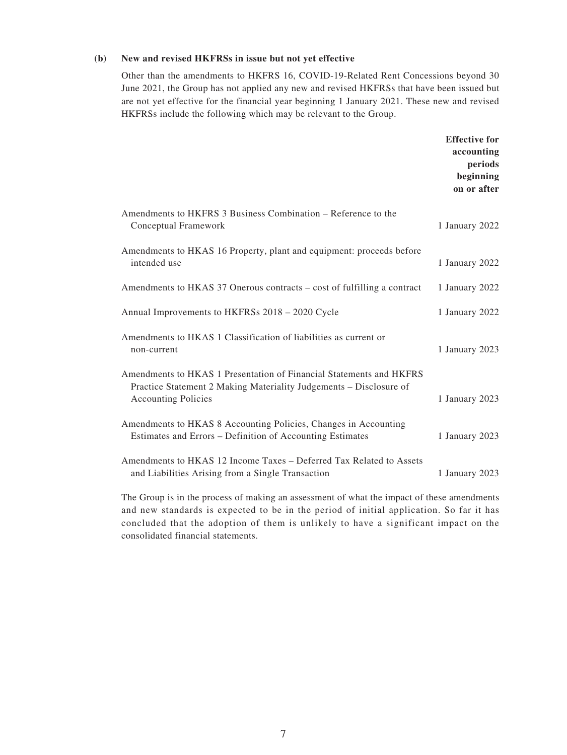#### **(b) New and revised HKFRSs in issue but not yet effective**

Other than the amendments to HKFRS 16, COVID-19-Related Rent Concessions beyond 30 June 2021, the Group has not applied any new and revised HKFRSs that have been issued but are not yet effective for the financial year beginning 1 January 2021. These new and revised HKFRSs include the following which may be relevant to the Group.

|                                                                                                                                                                         | <b>Effective for</b><br>accounting<br>periods<br>beginning<br>on or after |
|-------------------------------------------------------------------------------------------------------------------------------------------------------------------------|---------------------------------------------------------------------------|
| Amendments to HKFRS 3 Business Combination – Reference to the<br>Conceptual Framework                                                                                   | 1 January 2022                                                            |
| Amendments to HKAS 16 Property, plant and equipment: proceeds before<br>intended use                                                                                    | 1 January 2022                                                            |
| Amendments to HKAS 37 Onerous contracts – cost of fulfilling a contract                                                                                                 | 1 January 2022                                                            |
| Annual Improvements to HKFRSs 2018 – 2020 Cycle                                                                                                                         | 1 January 2022                                                            |
| Amendments to HKAS 1 Classification of liabilities as current or<br>non-current                                                                                         | 1 January 2023                                                            |
| Amendments to HKAS 1 Presentation of Financial Statements and HKFRS<br>Practice Statement 2 Making Materiality Judgements - Disclosure of<br><b>Accounting Policies</b> | 1 January 2023                                                            |
| Amendments to HKAS 8 Accounting Policies, Changes in Accounting<br>Estimates and Errors – Definition of Accounting Estimates                                            | 1 January 2023                                                            |
| Amendments to HKAS 12 Income Taxes – Deferred Tax Related to Assets<br>and Liabilities Arising from a Single Transaction                                                | 1 January 2023                                                            |

The Group is in the process of making an assessment of what the impact of these amendments and new standards is expected to be in the period of initial application. So far it has concluded that the adoption of them is unlikely to have a significant impact on the consolidated financial statements.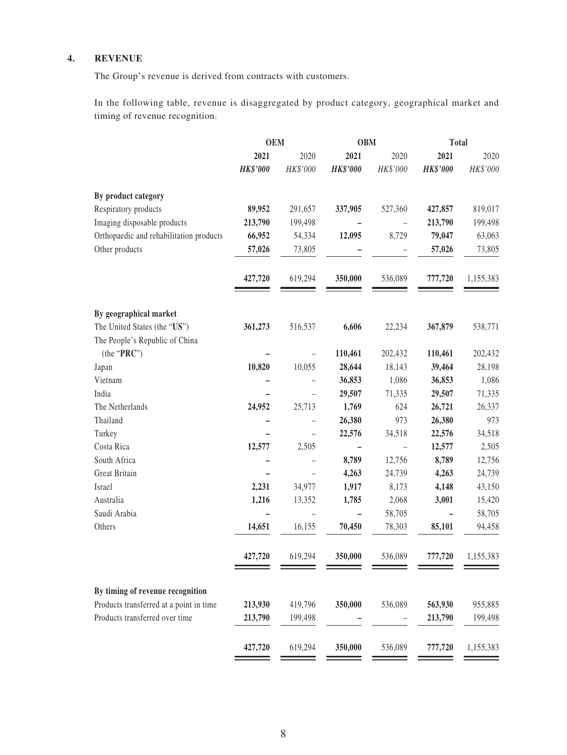#### **4. REVENUE**

The Group's revenue is derived from contracts with customers.

In the following table, revenue is disaggregated by product category, geographical market and timing of revenue recognition.

|                                                                             | <b>OEM</b>      |                          | <b>OBM</b>        |                          | <b>Total</b>    |           |
|-----------------------------------------------------------------------------|-----------------|--------------------------|-------------------|--------------------------|-----------------|-----------|
|                                                                             | 2021            | 2020                     | 2021              | 2020                     | 2021            | 2020      |
|                                                                             | <b>HK\$'000</b> | HK\$'000                 | <b>HK\$'000</b>   | HK\$'000                 | <b>HK\$'000</b> | HK\$'000  |
| By product category                                                         |                 |                          |                   |                          |                 |           |
| Respiratory products                                                        | 89,952          | 291,657                  | 337,905           | 527,360                  | 427,857         | 819,017   |
| Imaging disposable products                                                 | 213,790         | 199,498                  |                   |                          | 213,790         | 199,498   |
| Orthopaedic and rehabilitation products                                     | 66,952          | 54,334                   | 12,095            | 8,729                    | 79,047          | 63,063    |
| Other products                                                              | 57,026          | 73,805                   |                   |                          | 57,026          | 73,805    |
|                                                                             | 427,720         | 619,294                  | 350,000           | 536,089                  | 777,720         | 1,155,383 |
| By geographical market                                                      |                 |                          |                   |                          |                 |           |
| The United States (the "US")                                                | 361,273         | 516,537                  | 6,606             | 22,234                   | 367,879         | 538,771   |
| The People's Republic of China                                              |                 |                          |                   |                          |                 |           |
| (the "PRC")                                                                 |                 |                          | 110,461           | 202,432                  | 110,461         | 202,432   |
| Japan                                                                       | 10,820          | 10,055                   | 28,644            | 18,143                   | 39,464          | 28,198    |
| Vietnam                                                                     |                 |                          | 36,853            | 1,086                    | 36,853          | 1,086     |
| India                                                                       |                 | $\overline{\phantom{0}}$ | 29,507            | 71,335                   | 29,507          | 71,335    |
| The Netherlands                                                             | 24,952          | 25,713                   | 1,769             | 624                      | 26,721          | 26,337    |
| Thailand                                                                    |                 |                          | 26,380            | 973                      | 26,380          | 973       |
| Turkey                                                                      |                 | $\overline{\phantom{0}}$ | 22,576            | 34,518                   | 22,576          | 34,518    |
| Costa Rica                                                                  | 12,577          | 2,505                    |                   | $\overline{\phantom{m}}$ | 12,577          | 2,505     |
| South Africa                                                                |                 |                          | 8,789             | 12,756                   | 8,789           | 12,756    |
| Great Britain                                                               |                 |                          | 4,263             | 24,739                   | 4,263           | 24,739    |
| Israel                                                                      | 2,231           | 34,977                   | 1,917             | 8,173                    | 4,148           | 43,150    |
| Australia                                                                   | 1,216           | 13,352                   | 1,785             | 2,068                    | 3,001           | 15,420    |
| Saudi Arabia                                                                |                 |                          | $\qquad \qquad -$ | 58,705                   |                 | 58,705    |
| Others                                                                      | 14,651          | 16,155                   | 70,450            | 78,303                   | 85,101          | 94,458    |
|                                                                             | 427,720         | 619,294                  | 350,000           | 536,089                  | 777,720         | 1,155,383 |
|                                                                             |                 |                          |                   |                          |                 |           |
| By timing of revenue recognition<br>Products transferred at a point in time | 213,930         | 419,796                  | 350,000           | 536,089                  | 563,930         | 955,885   |
| Products transferred over time                                              | 213,790         | 199,498                  |                   |                          | 213,790         | 199,498   |
|                                                                             |                 |                          |                   |                          |                 |           |
|                                                                             | 427,720         | 619,294                  | 350,000           | 536,089                  | 777,720         | 1,155,383 |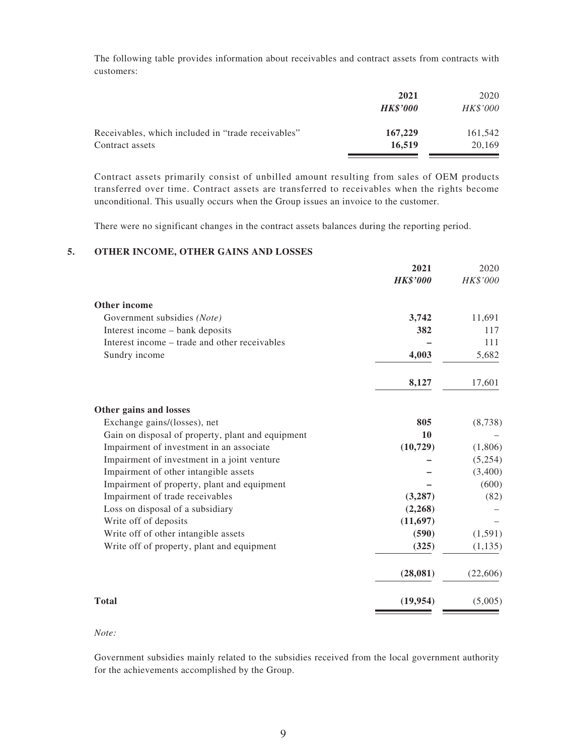The following table provides information about receivables and contract assets from contracts with customers:

| 2021            | 2020            |
|-----------------|-----------------|
| <b>HK\$'000</b> | <b>HK\$'000</b> |
| 167,229         | 161,542         |
| 16.519          | 20.169          |
|                 |                 |

Contract assets primarily consist of unbilled amount resulting from sales of OEM products transferred over time. Contract assets are transferred to receivables when the rights become unconditional. This usually occurs when the Group issues an invoice to the customer.

There were no significant changes in the contract assets balances during the reporting period.

#### **5. OTHER INCOME, OTHER GAINS AND LOSSES**

| 2021            | 2020     |
|-----------------|----------|
| <b>HK\$'000</b> | HK\$'000 |
|                 |          |
| 3,742           | 11,691   |
| 382             | 117      |
|                 | 111      |
| 4,003           | 5,682    |
| 8,127           | 17,601   |
|                 |          |
| 805             | (8, 738) |
| 10              |          |
| (10, 729)       | (1,806)  |
|                 | (5,254)  |
|                 | (3,400)  |
|                 | (600)    |
| (3,287)         | (82)     |
| (2,268)         |          |
| (11,697)        |          |
| (590)           | (1,591)  |
| (325)           | (1, 135) |
| (28,081)        | (22,606) |
| (19, 954)       | (5,005)  |
|                 |          |

*Note:*

Government subsidies mainly related to the subsidies received from the local government authority for the achievements accomplished by the Group.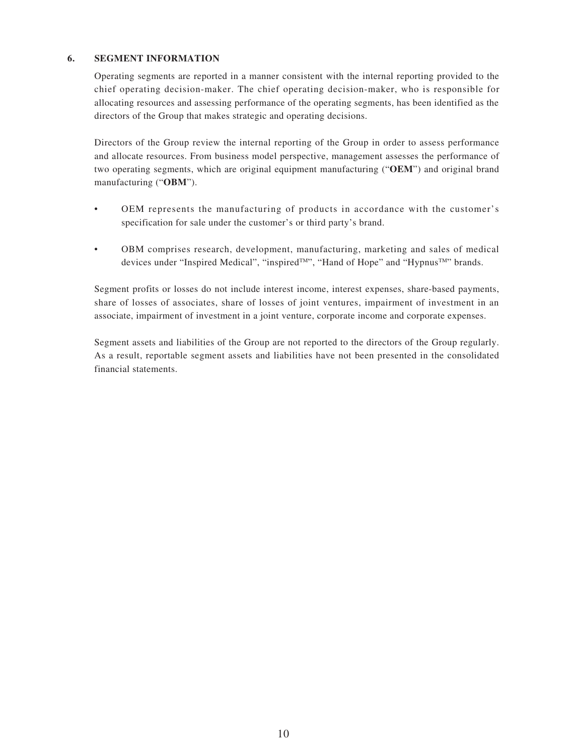#### **6. SEGMENT INFORMATION**

Operating segments are reported in a manner consistent with the internal reporting provided to the chief operating decision-maker. The chief operating decision-maker, who is responsible for allocating resources and assessing performance of the operating segments, has been identified as the directors of the Group that makes strategic and operating decisions.

Directors of the Group review the internal reporting of the Group in order to assess performance and allocate resources. From business model perspective, management assesses the performance of two operating segments, which are original equipment manufacturing ("**OEM**") and original brand manufacturing ("**OBM**").

- OEM represents the manufacturing of products in accordance with the customer's specification for sale under the customer's or third party's brand.
- OBM comprises research, development, manufacturing, marketing and sales of medical devices under "Inspired Medical", "inspired™", "Hand of Hope" and "Hypnus™" brands.

Segment profits or losses do not include interest income, interest expenses, share-based payments, share of losses of associates, share of losses of joint ventures, impairment of investment in an associate, impairment of investment in a joint venture, corporate income and corporate expenses.

Segment assets and liabilities of the Group are not reported to the directors of the Group regularly. As a result, reportable segment assets and liabilities have not been presented in the consolidated financial statements.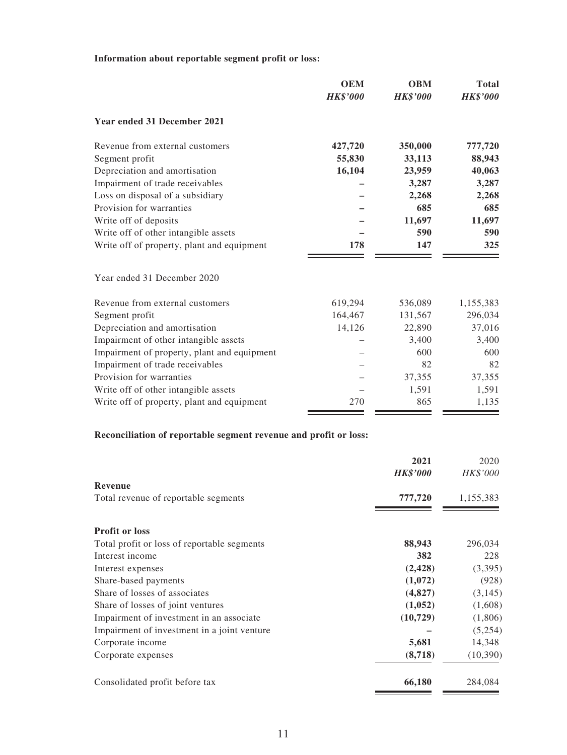#### **Information about reportable segment profit or loss:**

|                                             | <b>OEM</b>      | <b>OBM</b>      | <b>Total</b>    |
|---------------------------------------------|-----------------|-----------------|-----------------|
|                                             | <b>HK\$'000</b> | <b>HK\$'000</b> | <b>HK\$'000</b> |
| <b>Year ended 31 December 2021</b>          |                 |                 |                 |
| Revenue from external customers             | 427,720         | 350,000         | 777,720         |
| Segment profit                              | 55,830          | 33,113          | 88,943          |
| Depreciation and amortisation               | 16,104          | 23,959          | 40,063          |
| Impairment of trade receivables             |                 | 3,287           | 3,287           |
| Loss on disposal of a subsidiary            |                 | 2,268           | 2,268           |
| Provision for warranties                    |                 | 685             | 685             |
| Write off of deposits                       |                 | 11,697          | 11,697          |
| Write off of other intangible assets        |                 | 590             | 590             |
| Write off of property, plant and equipment  | 178             | 147             | 325             |
| Year ended 31 December 2020                 |                 |                 |                 |
| Revenue from external customers             | 619,294         | 536,089         | 1,155,383       |
| Segment profit                              | 164,467         | 131,567         | 296,034         |
| Depreciation and amortisation               | 14,126          | 22,890          | 37,016          |
| Impairment of other intangible assets       |                 | 3,400           | 3,400           |
| Impairment of property, plant and equipment |                 | 600             | 600             |
| Impairment of trade receivables             |                 | 82              | 82              |
| Provision for warranties                    |                 | 37,355          | 37,355          |
| Write off of other intangible assets        |                 | 1,591           | 1,591           |
| Write off of property, plant and equipment  | 270             | 865             | 1,135           |

# **Reconciliation of reportable segment revenue and profit or loss:**

|                                             | 2021            | 2020      |
|---------------------------------------------|-----------------|-----------|
| Revenue                                     | <b>HK\$'000</b> | HK\$'000  |
| Total revenue of reportable segments        | 777,720         | 1,155,383 |
|                                             |                 |           |
| <b>Profit or loss</b>                       |                 |           |
| Total profit or loss of reportable segments | 88,943          | 296,034   |
| Interest income                             | 382             | 228       |
| Interest expenses                           | (2, 428)        | (3,395)   |
| Share-based payments                        | (1,072)         | (928)     |
| Share of losses of associates               | (4,827)         | (3,145)   |
| Share of losses of joint ventures           | (1,052)         | (1,608)   |
| Impairment of investment in an associate    | (10, 729)       | (1,806)   |
| Impairment of investment in a joint venture |                 | (5,254)   |
| Corporate income                            | 5,681           | 14,348    |
| Corporate expenses                          | (8,718)         | (10, 390) |
| Consolidated profit before tax              | 66,180          | 284,084   |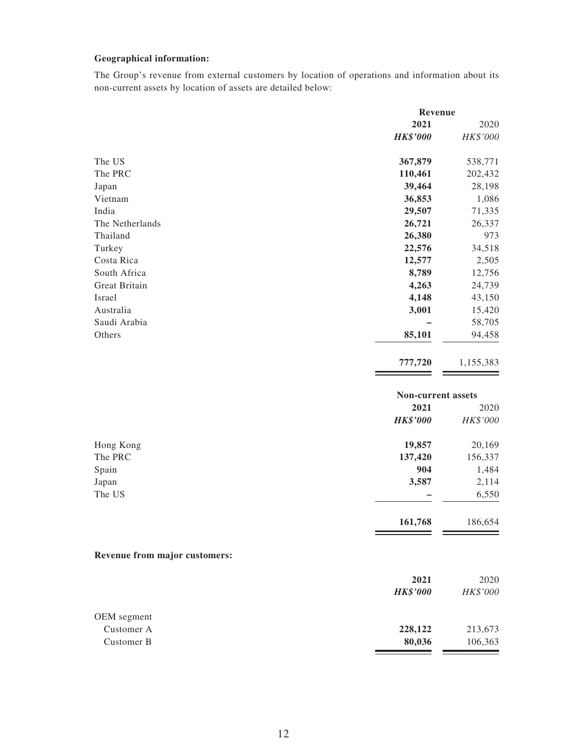#### **Geographical information:**

The Group's revenue from external customers by location of operations and information about its non-current assets by location of assets are detailed below:

|                               | Revenue            |           |
|-------------------------------|--------------------|-----------|
|                               | 2021               | 2020      |
|                               | <b>HK\$'000</b>    | HK\$'000  |
| The US                        | 367,879            | 538,771   |
| The PRC                       | 110,461            | 202,432   |
| Japan                         | 39,464             | 28,198    |
| Vietnam                       | 36,853             | 1,086     |
| India                         | 29,507             | 71,335    |
| The Netherlands               | 26,721             | 26,337    |
| Thailand                      | 26,380             | 973       |
| Turkey                        | 22,576             | 34,518    |
| Costa Rica                    | 12,577             | 2,505     |
| South Africa                  | 8,789              | 12,756    |
| Great Britain                 | 4,263              | 24,739    |
| Israel                        | 4,148              | 43,150    |
| Australia                     | 3,001              | 15,420    |
| Saudi Arabia                  |                    | 58,705    |
| Others                        | 85,101             | 94,458    |
|                               | 777,720            | 1,155,383 |
|                               | Non-current assets |           |
|                               | 2021               | 2020      |
|                               | <b>HK\$'000</b>    | HK\$'000  |
| Hong Kong                     | 19,857             | 20,169    |
| The PRC                       | 137,420            | 156,337   |
| Spain                         | 904                | 1,484     |
| Japan                         | 3,587              | 2,114     |
| The US                        |                    | 6,550     |
|                               | 161,768            | 186,654   |
| Revenue from major customers: |                    |           |
|                               | 2021               | 2020      |
|                               | <b>HK\$'000</b>    | HK\$'000  |
| OEM segment                   |                    |           |
| Customer A                    | 228,122            | 213,673   |
| Customer B                    | 80,036             | 106,363   |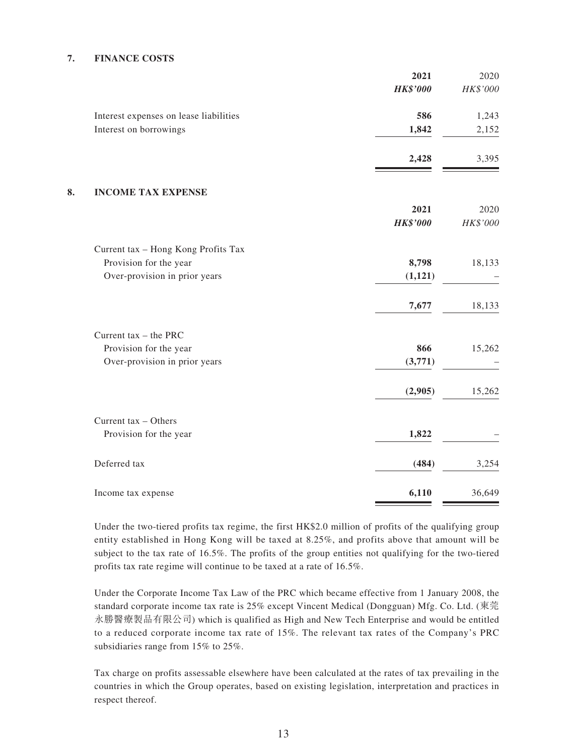#### **7. FINANCE COSTS**

| 2021                                          | 2020     |
|-----------------------------------------------|----------|
| <b>HK\$'000</b>                               | HK\$'000 |
| 586<br>Interest expenses on lease liabilities | 1,243    |
| 1,842<br>Interest on borrowings               | 2,152    |
| 2,428                                         | 3,395    |
| <b>INCOME TAX EXPENSE</b>                     |          |
| 2021                                          | 2020     |
| <b>HK\$'000</b>                               | HK\$'000 |
| Current tax - Hong Kong Profits Tax           |          |
| Provision for the year<br>8,798               | 18,133   |
| Over-provision in prior years<br>(1, 121)     |          |
| 7,677                                         | 18,133   |
| Current tax $-$ the PRC                       |          |
| Provision for the year<br>866                 | 15,262   |
| Over-provision in prior years<br>(3,771)      |          |
| (2,905)                                       | 15,262   |
| Current tax - Others                          |          |
| 1,822<br>Provision for the year               |          |
| Deferred tax<br>(484)                         | 3,254    |
| 6,110<br>Income tax expense                   | 36,649   |

Under the two-tiered profits tax regime, the first HK\$2.0 million of profits of the qualifying group entity established in Hong Kong will be taxed at 8.25%, and profits above that amount will be subject to the tax rate of 16.5%. The profits of the group entities not qualifying for the two-tiered profits tax rate regime will continue to be taxed at a rate of 16.5%.

Under the Corporate Income Tax Law of the PRC which became effective from 1 January 2008, the standard corporate income tax rate is 25% except Vincent Medical (Dongguan) Mfg. Co. Ltd. (東莞 永勝醫療製品有限公司) which is qualified as High and New Tech Enterprise and would be entitled to a reduced corporate income tax rate of 15%. The relevant tax rates of the Company's PRC subsidiaries range from 15% to 25%.

Tax charge on profits assessable elsewhere have been calculated at the rates of tax prevailing in the countries in which the Group operates, based on existing legislation, interpretation and practices in respect thereof.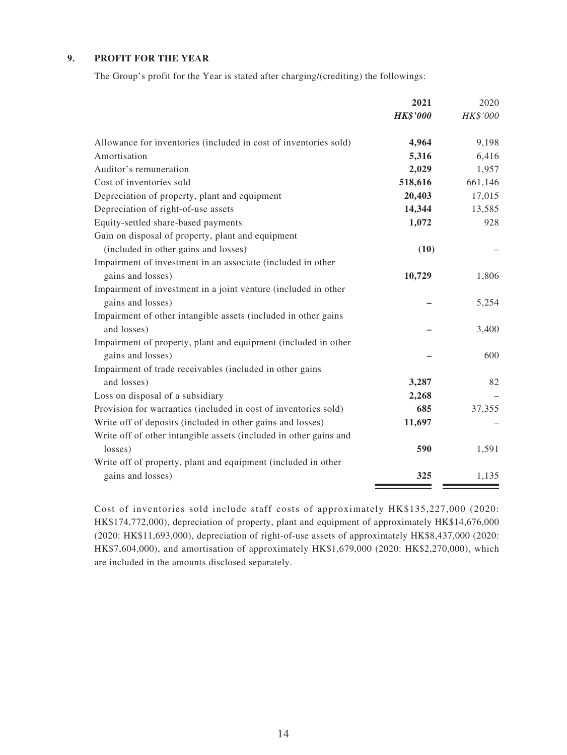#### **9. PROFIT FOR THE YEAR**

The Group's profit for the Year is stated after charging/(crediting) the followings:

|                                                                   | 2021            | 2020     |
|-------------------------------------------------------------------|-----------------|----------|
|                                                                   | <b>HK\$'000</b> | HK\$'000 |
| Allowance for inventories (included in cost of inventories sold)  | 4,964           | 9,198    |
| Amortisation                                                      | 5,316           | 6,416    |
| Auditor's remuneration                                            | 2,029           | 1,957    |
| Cost of inventories sold                                          | 518,616         | 661,146  |
| Depreciation of property, plant and equipment                     | 20,403          | 17,015   |
| Depreciation of right-of-use assets                               | 14,344          | 13,585   |
| Equity-settled share-based payments                               | 1,072           | 928      |
| Gain on disposal of property, plant and equipment                 |                 |          |
| (included in other gains and losses)                              | (10)            |          |
| Impairment of investment in an associate (included in other       |                 |          |
| gains and losses)                                                 | 10,729          | 1,806    |
| Impairment of investment in a joint venture (included in other    |                 |          |
| gains and losses)                                                 |                 | 5,254    |
| Impairment of other intangible assets (included in other gains    |                 |          |
| and losses)                                                       |                 | 3,400    |
| Impairment of property, plant and equipment (included in other    |                 |          |
| gains and losses)                                                 |                 | 600      |
| Impairment of trade receivables (included in other gains          |                 |          |
| and losses)                                                       | 3,287           | 82       |
| Loss on disposal of a subsidiary                                  | 2,268           |          |
| Provision for warranties (included in cost of inventories sold)   | 685             | 37,355   |
| Write off of deposits (included in other gains and losses)        | 11,697          |          |
| Write off of other intangible assets (included in other gains and |                 |          |
| losses)                                                           | 590             | 1,591    |
| Write off of property, plant and equipment (included in other     |                 |          |
| gains and losses)                                                 | 325             | 1,135    |

Cost of inventories sold include staff costs of approximately HK\$135,227,000 (2020: HK\$174,772,000), depreciation of property, plant and equipment of approximately HK\$14,676,000 (2020: HK\$11,693,000), depreciation of right-of-use assets of approximately HK\$8,437,000 (2020: HK\$7,604,000), and amortisation of approximately HK\$1,679,000 (2020: HK\$2,270,000), which are included in the amounts disclosed separately.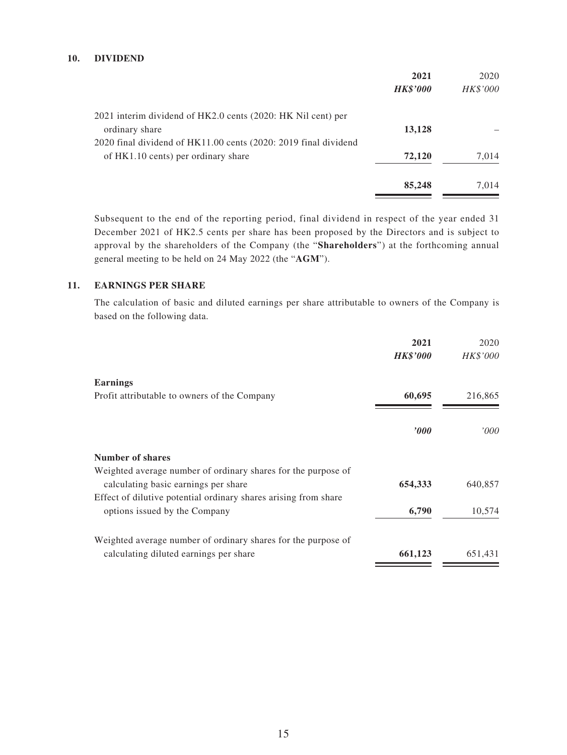#### **10. DIVIDEND**

|                                                                 | 2021            | 2020     |
|-----------------------------------------------------------------|-----------------|----------|
|                                                                 | <b>HK\$'000</b> | HK\$'000 |
| 2021 interim dividend of HK2.0 cents (2020: HK Nil cent) per    |                 |          |
| ordinary share                                                  | 13,128          |          |
| 2020 final dividend of HK11.00 cents (2020: 2019 final dividend |                 |          |
| of HK1.10 cents) per ordinary share                             | 72,120          | 7,014    |
|                                                                 | 85,248          | 7,014    |

Subsequent to the end of the reporting period, final dividend in respect of the year ended 31 December 2021 of HK2.5 cents per share has been proposed by the Directors and is subject to approval by the shareholders of the Company (the "**Shareholders**") at the forthcoming annual general meeting to be held on 24 May 2022 (the "**AGM**").

#### **11. EARNINGS PER SHARE**

The calculation of basic and diluted earnings per share attributable to owners of the Company is based on the following data.

|                                                                                                       | 2021<br><b>HK\$'000</b> | 2020<br>HK\$'000 |
|-------------------------------------------------------------------------------------------------------|-------------------------|------------------|
| <b>Earnings</b>                                                                                       |                         |                  |
| Profit attributable to owners of the Company                                                          | 60,695                  | 216,865          |
|                                                                                                       | $\bm{v}$                | '000             |
| Number of shares                                                                                      |                         |                  |
| Weighted average number of ordinary shares for the purpose of<br>calculating basic earnings per share | 654,333                 | 640,857          |
| Effect of dilutive potential ordinary shares arising from share<br>options issued by the Company      | 6,790                   | 10,574           |
| Weighted average number of ordinary shares for the purpose of                                         |                         |                  |
| calculating diluted earnings per share                                                                | 661,123                 | 651,431          |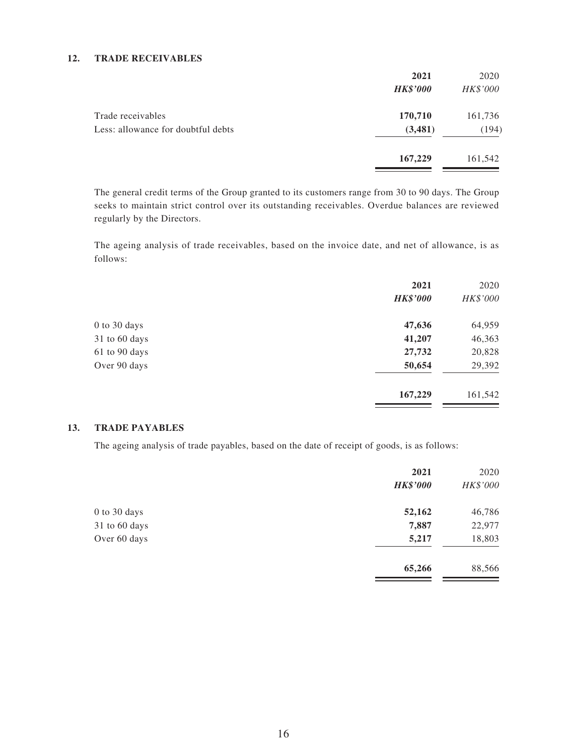#### **12. TRADE RECEIVABLES**

|                                    | 2021            | 2020     |
|------------------------------------|-----------------|----------|
|                                    | <b>HK\$'000</b> | HK\$'000 |
| Trade receivables                  | 170,710         | 161,736  |
| Less: allowance for doubtful debts | (3,481)         | (194)    |
|                                    | 167,229         | 161,542  |

The general credit terms of the Group granted to its customers range from 30 to 90 days. The Group seeks to maintain strict control over its outstanding receivables. Overdue balances are reviewed regularly by the Directors.

The ageing analysis of trade receivables, based on the invoice date, and net of allowance, is as follows:

|               | 2021            | 2020     |
|---------------|-----------------|----------|
|               | <b>HK\$'000</b> | HK\$'000 |
| 0 to 30 days  | 47,636          | 64,959   |
| 31 to 60 days | 41,207          | 46,363   |
| 61 to 90 days | 27,732          | 20,828   |
| Over 90 days  | 50,654          | 29,392   |
|               | 167,229         | 161,542  |

 $\equiv$ 

#### **13. TRADE PAYABLES**

The ageing analysis of trade payables, based on the date of receipt of goods, is as follows:

|               | 2021<br><b>HK\$'000</b> | 2020<br>HK\$'000 |
|---------------|-------------------------|------------------|
| 0 to 30 days  | 52,162                  | 46,786           |
| 31 to 60 days | 7,887                   | 22,977           |
| Over 60 days  | 5,217                   | 18,803           |
|               | 65,266                  | 88,566           |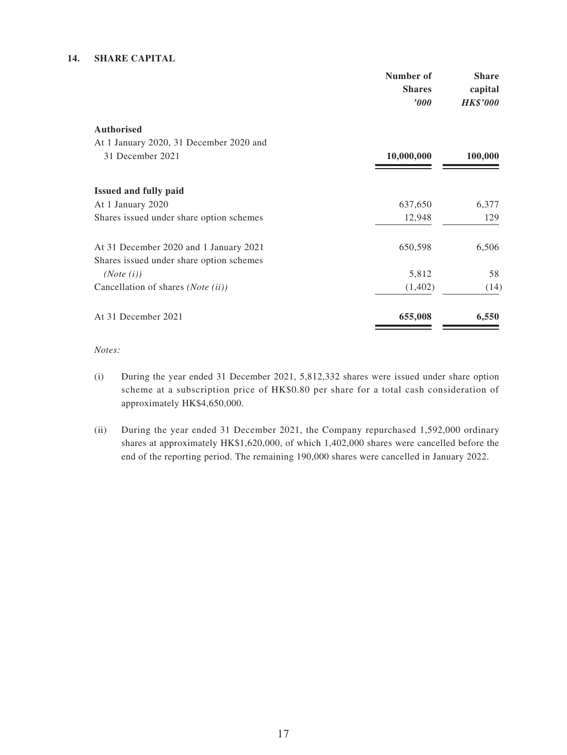#### **14. SHARE CAPITAL**

|                                                                                    | Number of<br><b>Shares</b><br>$\bm{v}$ | <b>Share</b><br>capital<br><b>HK\$'000</b> |
|------------------------------------------------------------------------------------|----------------------------------------|--------------------------------------------|
| <b>Authorised</b>                                                                  |                                        |                                            |
| At 1 January 2020, 31 December 2020 and                                            |                                        |                                            |
| 31 December 2021                                                                   | 10,000,000                             | 100,000                                    |
| <b>Issued and fully paid</b>                                                       |                                        |                                            |
| At 1 January 2020                                                                  | 637,650                                | 6,377                                      |
| Shares issued under share option schemes                                           | 12,948                                 | 129                                        |
| At 31 December 2020 and 1 January 2021<br>Shares issued under share option schemes | 650,598                                | 6,506                                      |
| (Note (i))                                                                         | 5,812                                  | 58                                         |
| Cancellation of shares (Note (ii))                                                 | (1,402)                                | (14)                                       |
| At 31 December 2021                                                                | 655,008                                | 6,550                                      |

*Notes:*

- (i) During the year ended 31 December 2021, 5,812,332 shares were issued under share option scheme at a subscription price of HK\$0.80 per share for a total cash consideration of approximately HK\$4,650,000.
- (ii) During the year ended 31 December 2021, the Company repurchased 1,592,000 ordinary shares at approximately HK\$1,620,000, of which 1,402,000 shares were cancelled before the end of the reporting period. The remaining 190,000 shares were cancelled in January 2022.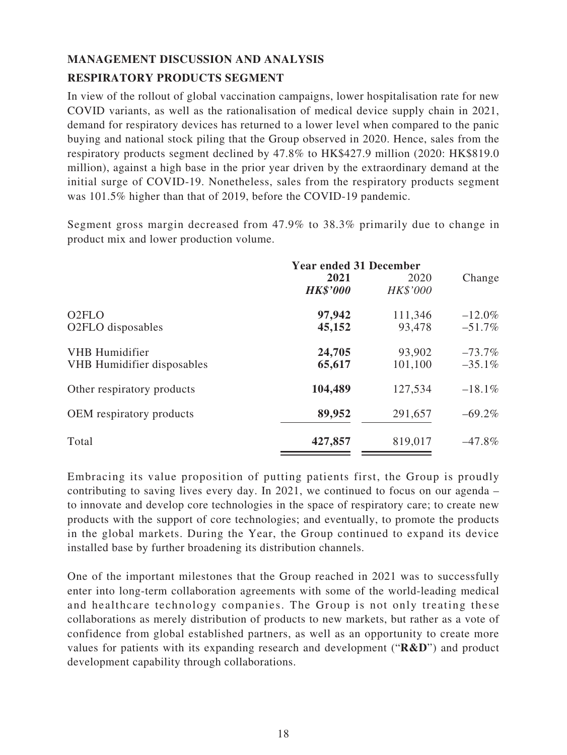# **MANAGEMENT DISCUSSION AND ANALYSIS RESPIRATORY PRODUCTS SEGMENT**

In view of the rollout of global vaccination campaigns, lower hospitalisation rate for new COVID variants, as well as the rationalisation of medical device supply chain in 2021, demand for respiratory devices has returned to a lower level when compared to the panic buying and national stock piling that the Group observed in 2020. Hence, sales from the respiratory products segment declined by 47.8% to HK\$427.9 million (2020: HK\$819.0 million), against a high base in the prior year driven by the extraordinary demand at the initial surge of COVID-19. Nonetheless, sales from the respiratory products segment was 101.5% higher than that of 2019, before the COVID-19 pandemic.

Segment gross margin decreased from 47.9% to 38.3% primarily due to change in product mix and lower production volume.

|                                                     | <b>Year ended 31 December</b><br>2021<br>2020<br><b>HK\$'000</b><br><b>HK\$'000</b> |                   |                       |
|-----------------------------------------------------|-------------------------------------------------------------------------------------|-------------------|-----------------------|
| O <sub>2</sub> FLO<br>O2FLO disposables             | 97,942<br>45,152                                                                    | 111,346<br>93,478 | $-12.0\%$<br>$-51.7%$ |
| VHB Humidifier<br><b>VHB</b> Humidifier disposables | 24,705<br>65,617                                                                    | 93,902<br>101,100 | $-73.7%$<br>$-35.1%$  |
| Other respiratory products                          | 104,489                                                                             | 127,534           | $-18.1\%$             |
| OEM respiratory products                            | 89,952                                                                              | 291,657           | $-69.2%$              |
| Total                                               | 427,857                                                                             | 819,017           | $-47.8%$              |

Embracing its value proposition of putting patients first, the Group is proudly contributing to saving lives every day. In 2021, we continued to focus on our agenda – to innovate and develop core technologies in the space of respiratory care; to create new products with the support of core technologies; and eventually, to promote the products in the global markets. During the Year, the Group continued to expand its device installed base by further broadening its distribution channels.

One of the important milestones that the Group reached in 2021 was to successfully enter into long-term collaboration agreements with some of the world-leading medical and healthcare technology companies. The Group is not only treating these collaborations as merely distribution of products to new markets, but rather as a vote of confidence from global established partners, as well as an opportunity to create more values for patients with its expanding research and development ("**R&D**") and product development capability through collaborations.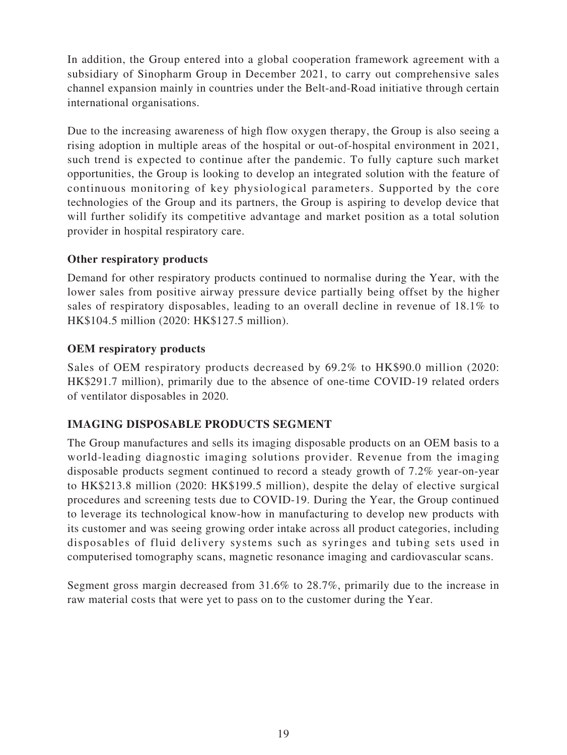In addition, the Group entered into a global cooperation framework agreement with a subsidiary of Sinopharm Group in December 2021, to carry out comprehensive sales channel expansion mainly in countries under the Belt-and-Road initiative through certain international organisations.

Due to the increasing awareness of high flow oxygen therapy, the Group is also seeing a rising adoption in multiple areas of the hospital or out-of-hospital environment in 2021, such trend is expected to continue after the pandemic. To fully capture such market opportunities, the Group is looking to develop an integrated solution with the feature of continuous monitoring of key physiological parameters. Supported by the core technologies of the Group and its partners, the Group is aspiring to develop device that will further solidify its competitive advantage and market position as a total solution provider in hospital respiratory care.

# **Other respiratory products**

Demand for other respiratory products continued to normalise during the Year, with the lower sales from positive airway pressure device partially being offset by the higher sales of respiratory disposables, leading to an overall decline in revenue of 18.1% to HK\$104.5 million (2020: HK\$127.5 million).

## **OEM respiratory products**

Sales of OEM respiratory products decreased by 69.2% to HK\$90.0 million (2020: HK\$291.7 million), primarily due to the absence of one-time COVID-19 related orders of ventilator disposables in 2020.

# **IMAGING DISPOSABLE PRODUCTS SEGMENT**

The Group manufactures and sells its imaging disposable products on an OEM basis to a world-leading diagnostic imaging solutions provider. Revenue from the imaging disposable products segment continued to record a steady growth of 7.2% year-on-year to HK\$213.8 million (2020: HK\$199.5 million), despite the delay of elective surgical procedures and screening tests due to COVID-19. During the Year, the Group continued to leverage its technological know-how in manufacturing to develop new products with its customer and was seeing growing order intake across all product categories, including disposables of fluid delivery systems such as syringes and tubing sets used in computerised tomography scans, magnetic resonance imaging and cardiovascular scans.

Segment gross margin decreased from 31.6% to 28.7%, primarily due to the increase in raw material costs that were yet to pass on to the customer during the Year.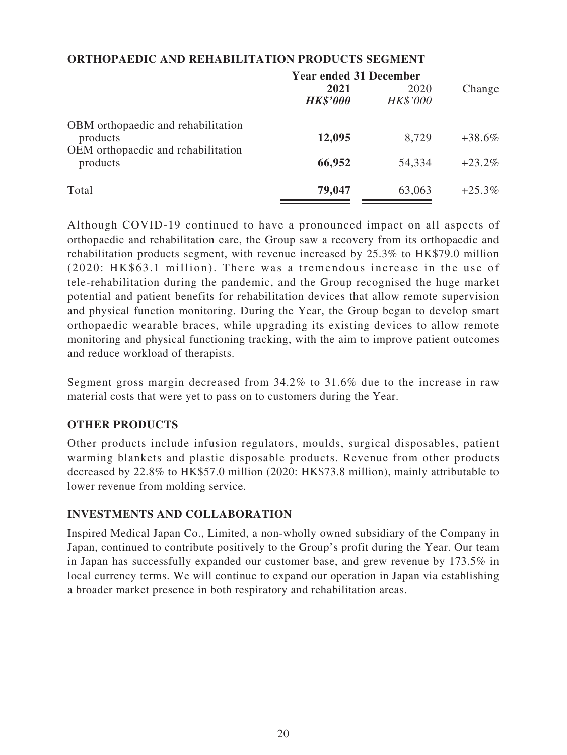| <b>Year ended 31 December</b> |                  |           |
|-------------------------------|------------------|-----------|
| 2021<br><b>HK\$'000</b>       | 2020<br>HK\$'000 | Change    |
| 12,095                        | 8,729            | $+38.6%$  |
| 66,952                        | 54,334           | $+23.2%$  |
| 79,047                        | 63,063           | $+25.3\%$ |
|                               |                  |           |

## **ORTHOPAEDIC AND REHABILITATION PRODUCTS SEGMENT**

Although COVID-19 continued to have a pronounced impact on all aspects of orthopaedic and rehabilitation care, the Group saw a recovery from its orthopaedic and rehabilitation products segment, with revenue increased by 25.3% to HK\$79.0 million (2020: HK\$63.1 million). There was a tremendous increase in the use of tele-rehabilitation during the pandemic, and the Group recognised the huge market potential and patient benefits for rehabilitation devices that allow remote supervision and physical function monitoring. During the Year, the Group began to develop smart orthopaedic wearable braces, while upgrading its existing devices to allow remote monitoring and physical functioning tracking, with the aim to improve patient outcomes and reduce workload of therapists.

Segment gross margin decreased from 34.2% to 31.6% due to the increase in raw material costs that were yet to pass on to customers during the Year.

# **OTHER PRODUCTS**

Other products include infusion regulators, moulds, surgical disposables, patient warming blankets and plastic disposable products. Revenue from other products decreased by 22.8% to HK\$57.0 million (2020: HK\$73.8 million), mainly attributable to lower revenue from molding service.

## **INVESTMENTS AND COLLABORATION**

Inspired Medical Japan Co., Limited, a non-wholly owned subsidiary of the Company in Japan, continued to contribute positively to the Group's profit during the Year. Our team in Japan has successfully expanded our customer base, and grew revenue by 173.5% in local currency terms. We will continue to expand our operation in Japan via establishing a broader market presence in both respiratory and rehabilitation areas.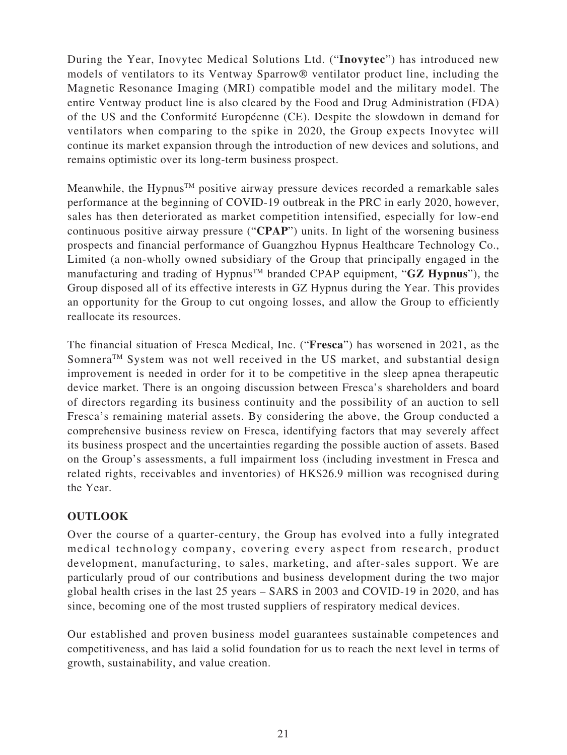During the Year, Inovytec Medical Solutions Ltd. ("**Inovytec**") has introduced new models of ventilators to its Ventway Sparrow® ventilator product line, including the Magnetic Resonance Imaging (MRI) compatible model and the military model. The entire Ventway product line is also cleared by the Food and Drug Administration (FDA) of the US and the Conformité Européenne (CE). Despite the slowdown in demand for ventilators when comparing to the spike in 2020, the Group expects Inovytec will continue its market expansion through the introduction of new devices and solutions, and remains optimistic over its long-term business prospect.

Meanwhile, the Hypnus<sup>TM</sup> positive airway pressure devices recorded a remarkable sales performance at the beginning of COVID-19 outbreak in the PRC in early 2020, however, sales has then deteriorated as market competition intensified, especially for low-end continuous positive airway pressure ("**CPAP**") units. In light of the worsening business prospects and financial performance of Guangzhou Hypnus Healthcare Technology Co., Limited (a non-wholly owned subsidiary of the Group that principally engaged in the manufacturing and trading of Hypnus<sup>TM</sup> branded CPAP equipment, " $GZ$  Hypnus"), the Group disposed all of its effective interests in GZ Hypnus during the Year. This provides an opportunity for the Group to cut ongoing losses, and allow the Group to efficiently reallocate its resources.

The financial situation of Fresca Medical, Inc. ("**Fresca**") has worsened in 2021, as the Somnera<sup>TM</sup> System was not well received in the US market, and substantial design improvement is needed in order for it to be competitive in the sleep apnea therapeutic device market. There is an ongoing discussion between Fresca's shareholders and board of directors regarding its business continuity and the possibility of an auction to sell Fresca's remaining material assets. By considering the above, the Group conducted a comprehensive business review on Fresca, identifying factors that may severely affect its business prospect and the uncertainties regarding the possible auction of assets. Based on the Group's assessments, a full impairment loss (including investment in Fresca and related rights, receivables and inventories) of HK\$26.9 million was recognised during the Year.

# **OUTLOOK**

Over the course of a quarter-century, the Group has evolved into a fully integrated medical technology company, covering every aspect from research, product development, manufacturing, to sales, marketing, and after-sales support. We are particularly proud of our contributions and business development during the two major global health crises in the last 25 years – SARS in 2003 and COVID-19 in 2020, and has since, becoming one of the most trusted suppliers of respiratory medical devices.

Our established and proven business model guarantees sustainable competences and competitiveness, and has laid a solid foundation for us to reach the next level in terms of growth, sustainability, and value creation.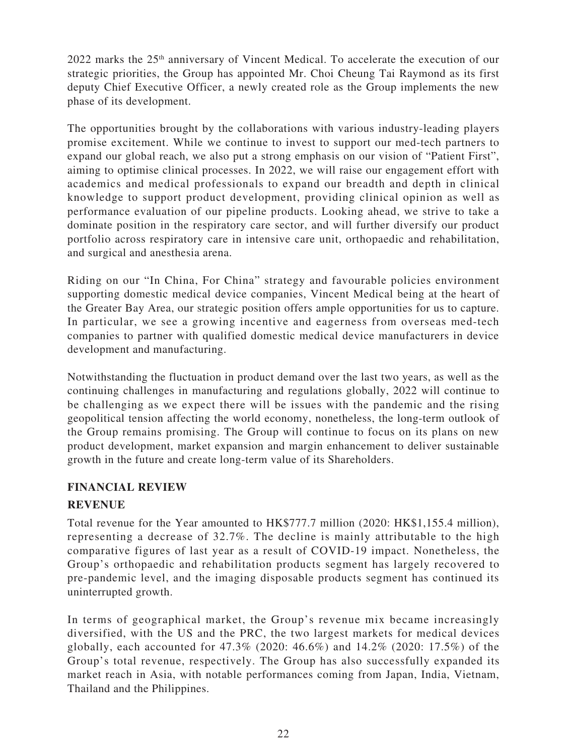2022 marks the 25th anniversary of Vincent Medical. To accelerate the execution of our strategic priorities, the Group has appointed Mr. Choi Cheung Tai Raymond as its first deputy Chief Executive Officer, a newly created role as the Group implements the new phase of its development.

The opportunities brought by the collaborations with various industry-leading players promise excitement. While we continue to invest to support our med-tech partners to expand our global reach, we also put a strong emphasis on our vision of "Patient First", aiming to optimise clinical processes. In 2022, we will raise our engagement effort with academics and medical professionals to expand our breadth and depth in clinical knowledge to support product development, providing clinical opinion as well as performance evaluation of our pipeline products. Looking ahead, we strive to take a dominate position in the respiratory care sector, and will further diversify our product portfolio across respiratory care in intensive care unit, orthopaedic and rehabilitation, and surgical and anesthesia arena.

Riding on our "In China, For China" strategy and favourable policies environment supporting domestic medical device companies, Vincent Medical being at the heart of the Greater Bay Area, our strategic position offers ample opportunities for us to capture. In particular, we see a growing incentive and eagerness from overseas med-tech companies to partner with qualified domestic medical device manufacturers in device development and manufacturing.

Notwithstanding the fluctuation in product demand over the last two years, as well as the continuing challenges in manufacturing and regulations globally, 2022 will continue to be challenging as we expect there will be issues with the pandemic and the rising geopolitical tension affecting the world economy, nonetheless, the long-term outlook of the Group remains promising. The Group will continue to focus on its plans on new product development, market expansion and margin enhancement to deliver sustainable growth in the future and create long-term value of its Shareholders.

## **FINANCIAL REVIEW**

# **REVENUE**

Total revenue for the Year amounted to HK\$777.7 million (2020: HK\$1,155.4 million), representing a decrease of 32.7%. The decline is mainly attributable to the high comparative figures of last year as a result of COVID-19 impact. Nonetheless, the Group's orthopaedic and rehabilitation products segment has largely recovered to pre-pandemic level, and the imaging disposable products segment has continued its uninterrupted growth.

In terms of geographical market, the Group's revenue mix became increasingly diversified, with the US and the PRC, the two largest markets for medical devices globally, each accounted for 47.3% (2020: 46.6%) and 14.2% (2020: 17.5%) of the Group's total revenue, respectively. The Group has also successfully expanded its market reach in Asia, with notable performances coming from Japan, India, Vietnam, Thailand and the Philippines.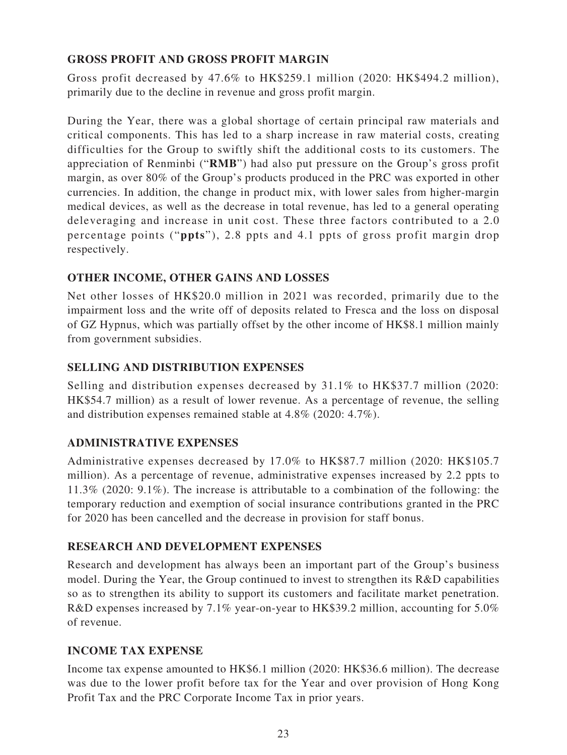# **GROSS PROFIT AND GROSS PROFIT MARGIN**

Gross profit decreased by 47.6% to HK\$259.1 million (2020: HK\$494.2 million), primarily due to the decline in revenue and gross profit margin.

During the Year, there was a global shortage of certain principal raw materials and critical components. This has led to a sharp increase in raw material costs, creating difficulties for the Group to swiftly shift the additional costs to its customers. The appreciation of Renminbi ("**RMB**") had also put pressure on the Group's gross profit margin, as over 80% of the Group's products produced in the PRC was exported in other currencies. In addition, the change in product mix, with lower sales from higher-margin medical devices, as well as the decrease in total revenue, has led to a general operating deleveraging and increase in unit cost. These three factors contributed to a 2.0 percentage points ("**ppts**"), 2.8 ppts and 4.1 ppts of gross profit margin drop respectively.

# **OTHER INCOME, OTHER GAINS AND LOSSES**

Net other losses of HK\$20.0 million in 2021 was recorded, primarily due to the impairment loss and the write off of deposits related to Fresca and the loss on disposal of GZ Hypnus, which was partially offset by the other income of HK\$8.1 million mainly from government subsidies.

## **SELLING AND DISTRIBUTION EXPENSES**

Selling and distribution expenses decreased by 31.1% to HK\$37.7 million (2020: HK\$54.7 million) as a result of lower revenue. As a percentage of revenue, the selling and distribution expenses remained stable at 4.8% (2020: 4.7%).

## **ADMINISTRATIVE EXPENSES**

Administrative expenses decreased by 17.0% to HK\$87.7 million (2020: HK\$105.7 million). As a percentage of revenue, administrative expenses increased by 2.2 ppts to 11.3% (2020: 9.1%). The increase is attributable to a combination of the following: the temporary reduction and exemption of social insurance contributions granted in the PRC for 2020 has been cancelled and the decrease in provision for staff bonus.

## **RESEARCH AND DEVELOPMENT EXPENSES**

Research and development has always been an important part of the Group's business model. During the Year, the Group continued to invest to strengthen its R&D capabilities so as to strengthen its ability to support its customers and facilitate market penetration. R&D expenses increased by 7.1% year-on-year to HK\$39.2 million, accounting for 5.0% of revenue.

## **INCOME TAX EXPENSE**

Income tax expense amounted to HK\$6.1 million (2020: HK\$36.6 million). The decrease was due to the lower profit before tax for the Year and over provision of Hong Kong Profit Tax and the PRC Corporate Income Tax in prior years.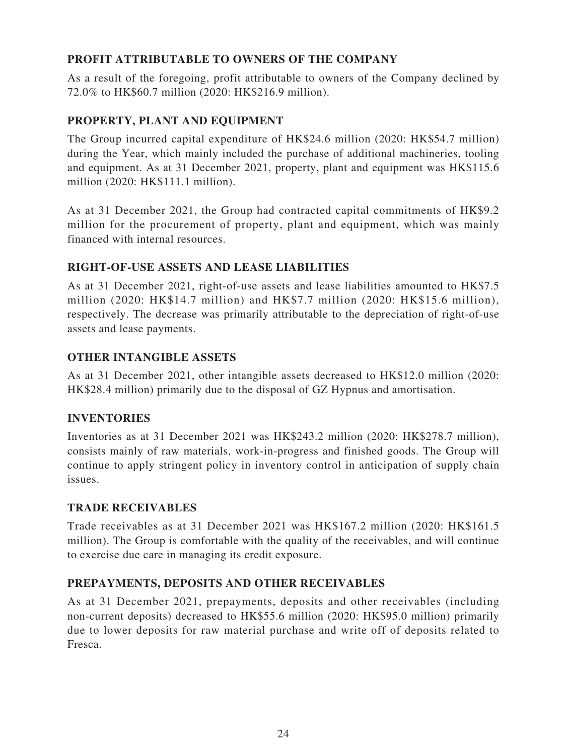# **PROFIT ATTRIBUTABLE TO OWNERS OF THE COMPANY**

As a result of the foregoing, profit attributable to owners of the Company declined by 72.0% to HK\$60.7 million (2020: HK\$216.9 million).

# **PROPERTY, PLANT AND EQUIPMENT**

The Group incurred capital expenditure of HK\$24.6 million (2020: HK\$54.7 million) during the Year, which mainly included the purchase of additional machineries, tooling and equipment. As at 31 December 2021, property, plant and equipment was HK\$115.6 million (2020: HK\$111.1 million).

As at 31 December 2021, the Group had contracted capital commitments of HK\$9.2 million for the procurement of property, plant and equipment, which was mainly financed with internal resources.

# **RIGHT-OF-USE ASSETS AND LEASE LIABILITIES**

As at 31 December 2021, right-of-use assets and lease liabilities amounted to HK\$7.5 million (2020: HK\$14.7 million) and HK\$7.7 million (2020: HK\$15.6 million), respectively. The decrease was primarily attributable to the depreciation of right-of-use assets and lease payments.

# **OTHER INTANGIBLE ASSETS**

As at 31 December 2021, other intangible assets decreased to HK\$12.0 million (2020: HK\$28.4 million) primarily due to the disposal of GZ Hypnus and amortisation.

## **INVENTORIES**

Inventories as at 31 December 2021 was HK\$243.2 million (2020: HK\$278.7 million), consists mainly of raw materials, work-in-progress and finished goods. The Group will continue to apply stringent policy in inventory control in anticipation of supply chain issues.

## **TRADE RECEIVABLES**

Trade receivables as at 31 December 2021 was HK\$167.2 million (2020: HK\$161.5 million). The Group is comfortable with the quality of the receivables, and will continue to exercise due care in managing its credit exposure.

# **PREPAYMENTS, DEPOSITS AND OTHER RECEIVABLES**

As at 31 December 2021, prepayments, deposits and other receivables (including non-current deposits) decreased to HK\$55.6 million (2020: HK\$95.0 million) primarily due to lower deposits for raw material purchase and write off of deposits related to Fresca.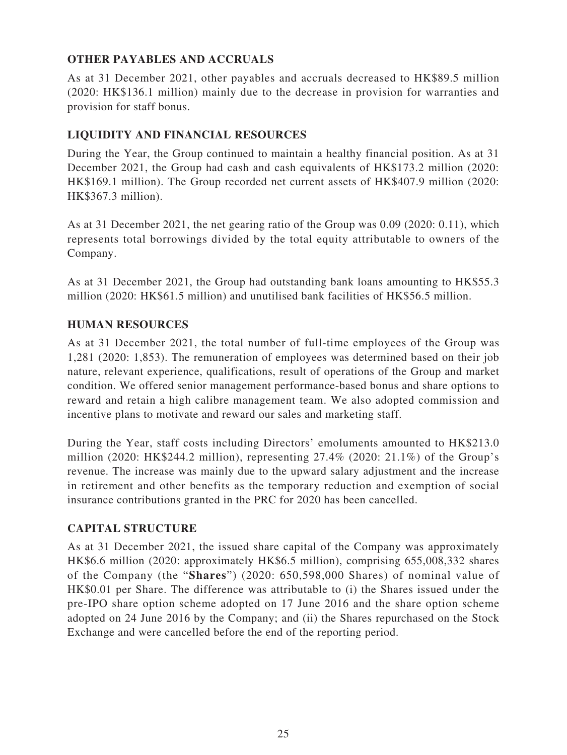# **OTHER PAYABLES AND ACCRUALS**

As at 31 December 2021, other payables and accruals decreased to HK\$89.5 million (2020: HK\$136.1 million) mainly due to the decrease in provision for warranties and provision for staff bonus.

## **LIQUIDITY AND FINANCIAL RESOURCES**

During the Year, the Group continued to maintain a healthy financial position. As at 31 December 2021, the Group had cash and cash equivalents of HK\$173.2 million (2020: HK\$169.1 million). The Group recorded net current assets of HK\$407.9 million (2020: HK\$367.3 million).

As at 31 December 2021, the net gearing ratio of the Group was 0.09 (2020: 0.11), which represents total borrowings divided by the total equity attributable to owners of the Company.

As at 31 December 2021, the Group had outstanding bank loans amounting to HK\$55.3 million (2020: HK\$61.5 million) and unutilised bank facilities of HK\$56.5 million.

## **HUMAN RESOURCES**

As at 31 December 2021, the total number of full-time employees of the Group was 1,281 (2020: 1,853). The remuneration of employees was determined based on their job nature, relevant experience, qualifications, result of operations of the Group and market condition. We offered senior management performance-based bonus and share options to reward and retain a high calibre management team. We also adopted commission and incentive plans to motivate and reward our sales and marketing staff.

During the Year, staff costs including Directors' emoluments amounted to HK\$213.0 million (2020: HK\$244.2 million), representing 27.4% (2020: 21.1%) of the Group's revenue. The increase was mainly due to the upward salary adjustment and the increase in retirement and other benefits as the temporary reduction and exemption of social insurance contributions granted in the PRC for 2020 has been cancelled.

## **CAPITAL STRUCTURE**

As at 31 December 2021, the issued share capital of the Company was approximately HK\$6.6 million (2020: approximately HK\$6.5 million), comprising 655,008,332 shares of the Company (the "**Shares**") (2020: 650,598,000 Shares) of nominal value of HK\$0.01 per Share. The difference was attributable to (i) the Shares issued under the pre-IPO share option scheme adopted on 17 June 2016 and the share option scheme adopted on 24 June 2016 by the Company; and (ii) the Shares repurchased on the Stock Exchange and were cancelled before the end of the reporting period.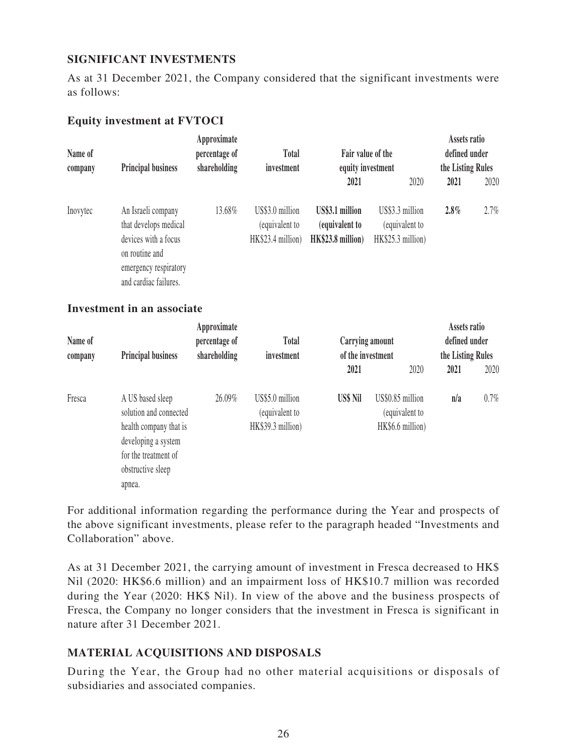## **SIGNIFICANT INVESTMENTS**

As at 31 December 2021, the Company considered that the significant investments were as follows:

## **Equity investment at FVTOCI**

| Name of<br>company | <b>Principal business</b>                                                                                                               | Approximate<br>percentage of<br><b>Total</b><br>shareholding<br>investment | Fair value of the<br>equity investment                 | Assets ratio<br>defined under<br>the Listing Rules     |                                                        |      |      |
|--------------------|-----------------------------------------------------------------------------------------------------------------------------------------|----------------------------------------------------------------------------|--------------------------------------------------------|--------------------------------------------------------|--------------------------------------------------------|------|------|
|                    |                                                                                                                                         |                                                                            |                                                        | 2021                                                   | 2020                                                   | 2021 | 2020 |
| Inovytec           | An Israeli company<br>that develops medical<br>devices with a focus<br>on routine and<br>emergency respiratory<br>and cardiac failures. | 13.68%                                                                     | US\$3.0 million<br>(equivalent to<br>HK\$23.4 million) | US\$3.1 million<br>(equivalent to<br>HK\$23.8 million) | US\$3.3 million<br>(equivalent to<br>HK\$25.3 million) | 2.8% | 2.7% |

#### **Investment in an associate**

| Name of<br>company | Approximate<br>percentage of<br><b>Principal business</b><br>shareholding                                                                          |        | <b>Total</b><br>investment                             | Carrying amount<br>of the investment |                                                        | Assets ratio<br>defined under<br>the Listing Rules |         |
|--------------------|----------------------------------------------------------------------------------------------------------------------------------------------------|--------|--------------------------------------------------------|--------------------------------------|--------------------------------------------------------|----------------------------------------------------|---------|
|                    |                                                                                                                                                    |        |                                                        | 2021                                 | 2020                                                   | 2021                                               | 2020    |
| Fresca             | A US based sleep<br>solution and connected<br>health company that is<br>developing a system<br>for the treatment of<br>obstructive sleep<br>apnea. | 26.09% | US\$5.0 million<br>(equivalent to<br>HK\$39.3 million) | US\$ Nil                             | US\$0.85 million<br>(equivalent to<br>HK\$6.6 million) | n/a                                                | $0.7\%$ |

For additional information regarding the performance during the Year and prospects of the above significant investments, please refer to the paragraph headed "Investments and Collaboration" above.

As at 31 December 2021, the carrying amount of investment in Fresca decreased to HK\$ Nil (2020: HK\$6.6 million) and an impairment loss of HK\$10.7 million was recorded during the Year (2020: HK\$ Nil). In view of the above and the business prospects of Fresca, the Company no longer considers that the investment in Fresca is significant in nature after 31 December 2021.

## **MATERIAL ACQUISITIONS AND DISPOSALS**

During the Year, the Group had no other material acquisitions or disposals of subsidiaries and associated companies.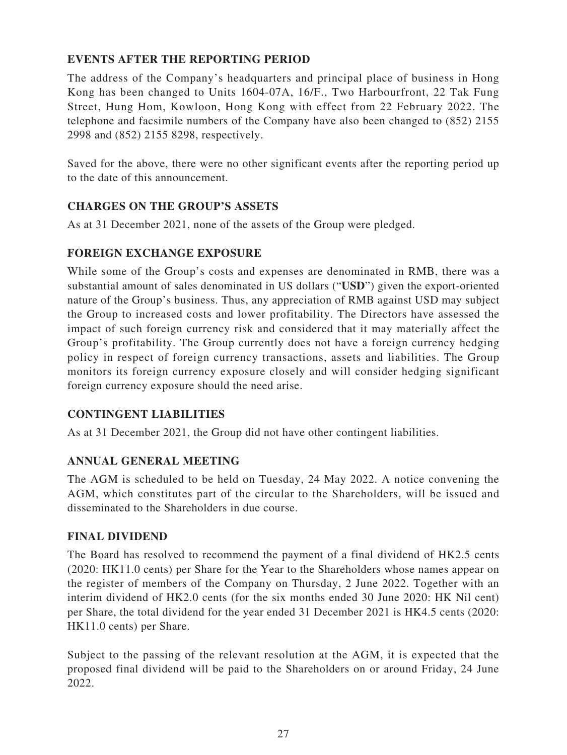# **EVENTS AFTER THE REPORTING PERIOD**

The address of the Company's headquarters and principal place of business in Hong Kong has been changed to Units 1604-07A, 16/F., Two Harbourfront, 22 Tak Fung Street, Hung Hom, Kowloon, Hong Kong with effect from 22 February 2022. The telephone and facsimile numbers of the Company have also been changed to (852) 2155 2998 and (852) 2155 8298, respectively.

Saved for the above, there were no other significant events after the reporting period up to the date of this announcement.

# **CHARGES ON THE GROUP'S ASSETS**

As at 31 December 2021, none of the assets of the Group were pledged.

# **FOREIGN EXCHANGE EXPOSURE**

While some of the Group's costs and expenses are denominated in RMB, there was a substantial amount of sales denominated in US dollars ("**USD**") given the export-oriented nature of the Group's business. Thus, any appreciation of RMB against USD may subject the Group to increased costs and lower profitability. The Directors have assessed the impact of such foreign currency risk and considered that it may materially affect the Group's profitability. The Group currently does not have a foreign currency hedging policy in respect of foreign currency transactions, assets and liabilities. The Group monitors its foreign currency exposure closely and will consider hedging significant foreign currency exposure should the need arise.

# **CONTINGENT LIABILITIES**

As at 31 December 2021, the Group did not have other contingent liabilities.

# **ANNUAL GENERAL MEETING**

The AGM is scheduled to be held on Tuesday, 24 May 2022. A notice convening the AGM, which constitutes part of the circular to the Shareholders, will be issued and disseminated to the Shareholders in due course.

## **FINAL DIVIDEND**

The Board has resolved to recommend the payment of a final dividend of HK2.5 cents (2020: HK11.0 cents) per Share for the Year to the Shareholders whose names appear on the register of members of the Company on Thursday, 2 June 2022. Together with an interim dividend of HK2.0 cents (for the six months ended 30 June 2020: HK Nil cent) per Share, the total dividend for the year ended 31 December 2021 is HK4.5 cents (2020: HK11.0 cents) per Share.

Subject to the passing of the relevant resolution at the AGM, it is expected that the proposed final dividend will be paid to the Shareholders on or around Friday, 24 June 2022.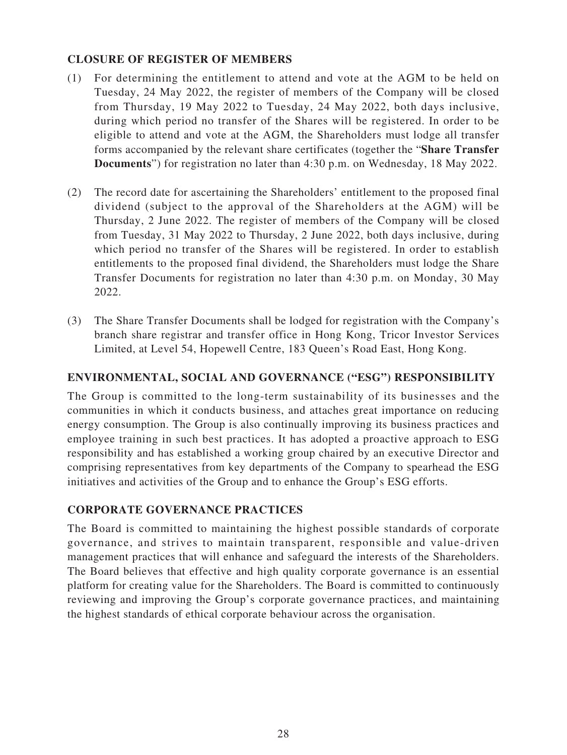## **CLOSURE OF REGISTER OF MEMBERS**

- (1) For determining the entitlement to attend and vote at the AGM to be held on Tuesday, 24 May 2022, the register of members of the Company will be closed from Thursday, 19 May 2022 to Tuesday, 24 May 2022, both days inclusive, during which period no transfer of the Shares will be registered. In order to be eligible to attend and vote at the AGM, the Shareholders must lodge all transfer forms accompanied by the relevant share certificates (together the "**Share Transfer Documents**") for registration no later than 4:30 p.m. on Wednesday, 18 May 2022.
- (2) The record date for ascertaining the Shareholders' entitlement to the proposed final dividend (subject to the approval of the Shareholders at the AGM) will be Thursday, 2 June 2022. The register of members of the Company will be closed from Tuesday, 31 May 2022 to Thursday, 2 June 2022, both days inclusive, during which period no transfer of the Shares will be registered. In order to establish entitlements to the proposed final dividend, the Shareholders must lodge the Share Transfer Documents for registration no later than 4:30 p.m. on Monday, 30 May 2022.
- (3) The Share Transfer Documents shall be lodged for registration with the Company's branch share registrar and transfer office in Hong Kong, Tricor Investor Services Limited, at Level 54, Hopewell Centre, 183 Queen's Road East, Hong Kong.

## **ENVIRONMENTAL, SOCIAL AND GOVERNANCE ("ESG") RESPONSIBILITY**

The Group is committed to the long-term sustainability of its businesses and the communities in which it conducts business, and attaches great importance on reducing energy consumption. The Group is also continually improving its business practices and employee training in such best practices. It has adopted a proactive approach to ESG responsibility and has established a working group chaired by an executive Director and comprising representatives from key departments of the Company to spearhead the ESG initiatives and activities of the Group and to enhance the Group's ESG efforts.

## **CORPORATE GOVERNANCE PRACTICES**

The Board is committed to maintaining the highest possible standards of corporate governance, and strives to maintain transparent, responsible and value-driven management practices that will enhance and safeguard the interests of the Shareholders. The Board believes that effective and high quality corporate governance is an essential platform for creating value for the Shareholders. The Board is committed to continuously reviewing and improving the Group's corporate governance practices, and maintaining the highest standards of ethical corporate behaviour across the organisation.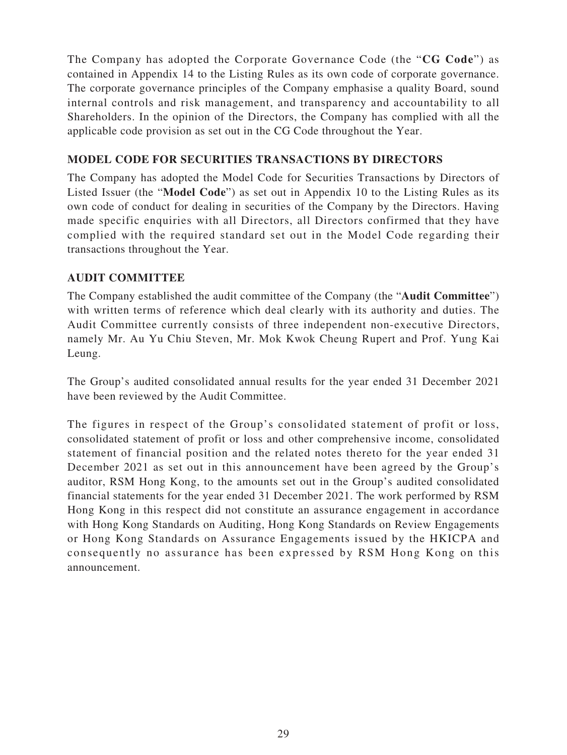The Company has adopted the Corporate Governance Code (the "**CG Code**") as contained in Appendix 14 to the Listing Rules as its own code of corporate governance. The corporate governance principles of the Company emphasise a quality Board, sound internal controls and risk management, and transparency and accountability to all Shareholders. In the opinion of the Directors, the Company has complied with all the applicable code provision as set out in the CG Code throughout the Year.

## **MODEL CODE FOR SECURITIES TRANSACTIONS BY DIRECTORS**

The Company has adopted the Model Code for Securities Transactions by Directors of Listed Issuer (the "**Model Code**") as set out in Appendix 10 to the Listing Rules as its own code of conduct for dealing in securities of the Company by the Directors. Having made specific enquiries with all Directors, all Directors confirmed that they have complied with the required standard set out in the Model Code regarding their transactions throughout the Year.

# **AUDIT COMMITTEE**

The Company established the audit committee of the Company (the "**Audit Committee**") with written terms of reference which deal clearly with its authority and duties. The Audit Committee currently consists of three independent non-executive Directors, namely Mr. Au Yu Chiu Steven, Mr. Mok Kwok Cheung Rupert and Prof. Yung Kai Leung.

The Group's audited consolidated annual results for the year ended 31 December 2021 have been reviewed by the Audit Committee.

The figures in respect of the Group's consolidated statement of profit or loss, consolidated statement of profit or loss and other comprehensive income, consolidated statement of financial position and the related notes thereto for the year ended 31 December 2021 as set out in this announcement have been agreed by the Group's auditor, RSM Hong Kong, to the amounts set out in the Group's audited consolidated financial statements for the year ended 31 December 2021. The work performed by RSM Hong Kong in this respect did not constitute an assurance engagement in accordance with Hong Kong Standards on Auditing, Hong Kong Standards on Review Engagements or Hong Kong Standards on Assurance Engagements issued by the HKICPA and consequently no assurance has been expressed by RSM Hong Kong on this announcement.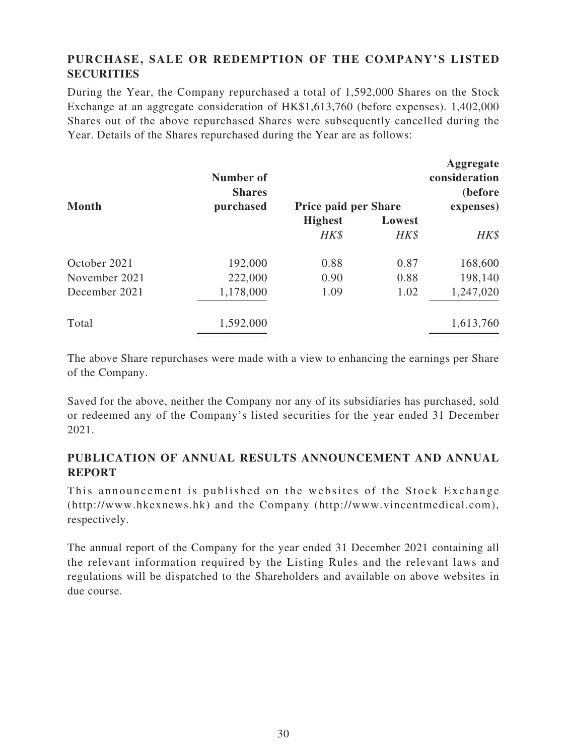# **PURCHASE, SALE OR REDEMPTION OF THE COMPANY'S LISTED SECURITIES**

During the Year, the Company repurchased a total of 1,592,000 Shares on the Stock Exchange at an aggregate consideration of HK\$1,613,760 (before expenses). 1,402,000 Shares out of the above repurchased Shares were subsequently cancelled during the Year. Details of the Shares repurchased during the Year are as follows:

| <b>Month</b>  | Number of<br><b>Shares</b><br>purchased | <b>Price paid per Share</b> |                | Aggregate<br>consideration<br>(before)<br>expenses) |
|---------------|-----------------------------------------|-----------------------------|----------------|-----------------------------------------------------|
|               |                                         | <b>Highest</b><br>HK\$      | Lowest<br>HK\$ | HK\$                                                |
|               |                                         |                             |                |                                                     |
| November 2021 | 222,000                                 | 0.90                        | 0.88           | 198,140                                             |
| December 2021 | 1,178,000                               | 1.09                        | 1.02           | 1,247,020                                           |
| Total         | 1,592,000                               |                             |                | 1,613,760                                           |

The above Share repurchases were made with a view to enhancing the earnings per Share of the Company.

Saved for the above, neither the Company nor any of its subsidiaries has purchased, sold or redeemed any of the Company's listed securities for the year ended 31 December 2021.

# **PUBLICATION OF ANNUAL RESULTS ANNOUNCEMENT AND ANNUAL REPORT**

This announcement is published on the websites of the Stock Exchange (http://www.hkexnews.hk) and the Company (http://www.vincentmedical.com), respectively.

The annual report of the Company for the year ended 31 December 2021 containing all the relevant information required by the Listing Rules and the relevant laws and regulations will be dispatched to the Shareholders and available on above websites in due course.